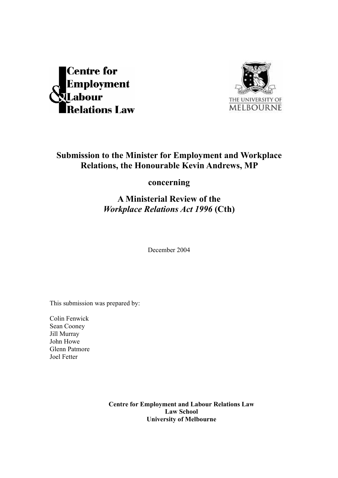



# **Submission to the Minister for Employment and Workplace Relations, the Honourable Kevin Andrews, MP**

**concerning** 

# **A Ministerial Review of the**  *Workplace Relations Act 1996* **(Cth)**

December 2004

This submission was prepared by:

Colin Fenwick Sean Cooney Jill Murray John Howe Glenn Patmore Joel Fetter

> **Centre for Employment and Labour Relations Law Law School University of Melbourne**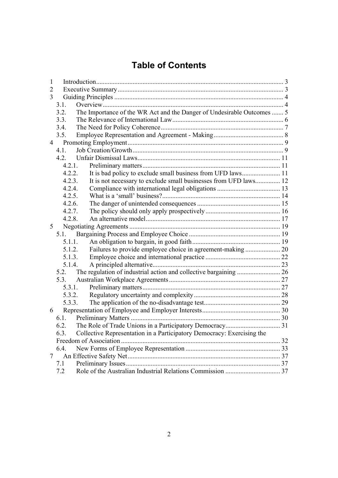# **Table of Contents**

| 1              |                                                                                |  |
|----------------|--------------------------------------------------------------------------------|--|
| $\overline{2}$ |                                                                                |  |
| 3              |                                                                                |  |
|                | 3.1.                                                                           |  |
|                | The Importance of the WR Act and the Danger of Undesirable Outcomes  5<br>3.2. |  |
|                | 3.3.                                                                           |  |
|                | 3.4.                                                                           |  |
|                | 3.5.                                                                           |  |
| $\overline{4}$ |                                                                                |  |
|                | 4.1.                                                                           |  |
|                | 4.2.                                                                           |  |
|                | 4.2.1.                                                                         |  |
|                | 4.2.2.                                                                         |  |
|                | It is not necessary to exclude small businesses from UFD laws 12<br>4.2.3.     |  |
|                | 4.2.4.                                                                         |  |
|                | 4.2.5.                                                                         |  |
|                | 4.2.6.                                                                         |  |
|                | 4.2.7.                                                                         |  |
|                | 4.2.8.                                                                         |  |
| 5              |                                                                                |  |
|                | 5.1.                                                                           |  |
|                | 5.1.1.                                                                         |  |
|                | 5.1.2.                                                                         |  |
|                | 5.1.3.                                                                         |  |
|                | 5.1.4.                                                                         |  |
|                | 5.2.                                                                           |  |
|                | 5.3.                                                                           |  |
|                | 5.3.1.                                                                         |  |
|                | 5.3.2.                                                                         |  |
|                | 5.3.3.                                                                         |  |
| 6              |                                                                                |  |
|                | 6.1.                                                                           |  |
|                | 6.2.                                                                           |  |
|                | Collective Representation in a Participatory Democracy: Exercising the<br>6.3. |  |
|                |                                                                                |  |
|                | 6.4.                                                                           |  |
| 7              |                                                                                |  |
|                | 7.1                                                                            |  |
|                | 7.2                                                                            |  |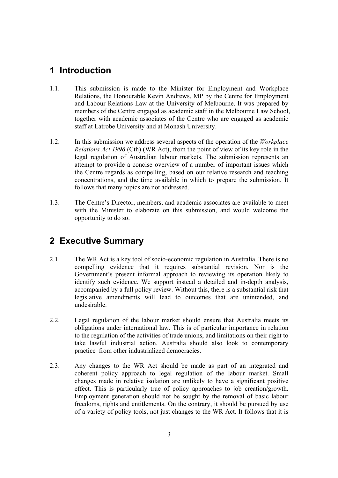# **1 Introduction**

- 1.1. This submission is made to the Minister for Employment and Workplace Relations, the Honourable Kevin Andrews, MP by the Centre for Employment and Labour Relations Law at the University of Melbourne. It was prepared by members of the Centre engaged as academic staff in the Melbourne Law School, together with academic associates of the Centre who are engaged as academic staff at Latrobe University and at Monash University.
- 1.2. In this submission we address several aspects of the operation of the *Workplace Relations Act 1996* (Cth) (WR Act), from the point of view of its key role in the legal regulation of Australian labour markets. The submission represents an attempt to provide a concise overview of a number of important issues which the Centre regards as compelling, based on our relative research and teaching concentrations, and the time available in which to prepare the submission. It follows that many topics are not addressed.
- 1.3. The Centre's Director, members, and academic associates are available to meet with the Minister to elaborate on this submission, and would welcome the opportunity to do so.

# **2 Executive Summary**

- 2.1. The WR Act is a key tool of socio-economic regulation in Australia. There is no compelling evidence that it requires substantial revision. Nor is the Government's present informal approach to reviewing its operation likely to identify such evidence. We support instead a detailed and in-depth analysis, accompanied by a full policy review. Without this, there is a substantial risk that legislative amendments will lead to outcomes that are unintended, and undesirable.
- 2.2. Legal regulation of the labour market should ensure that Australia meets its obligations under international law. This is of particular importance in relation to the regulation of the activities of trade unions, and limitations on their right to take lawful industrial action. Australia should also look to contemporary practice from other industrialized democracies.
- 2.3. Any changes to the WR Act should be made as part of an integrated and coherent policy approach to legal regulation of the labour market. Small changes made in relative isolation are unlikely to have a significant positive effect. This is particularly true of policy approaches to job creation/growth. Employment generation should not be sought by the removal of basic labour freedoms, rights and entitlements. On the contrary, it should be pursued by use of a variety of policy tools, not just changes to the WR Act. It follows that it is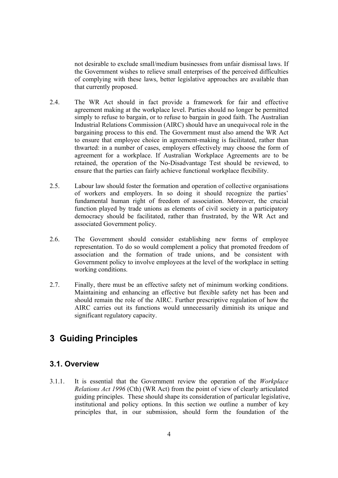not desirable to exclude small/medium businesses from unfair dismissal laws. If the Government wishes to relieve small enterprises of the perceived difficulties of complying with these laws, better legislative approaches are available than that currently proposed.

- 2.4. The WR Act should in fact provide a framework for fair and effective agreement making at the workplace level. Parties should no longer be permitted simply to refuse to bargain, or to refuse to bargain in good faith. The Australian Industrial Relations Commission (AIRC) should have an unequivocal role in the bargaining process to this end. The Government must also amend the WR Act to ensure that employee choice in agreement-making is facilitated, rather than thwarted: in a number of cases, employers effectively may choose the form of agreement for a workplace. If Australian Workplace Agreements are to be retained, the operation of the No-Disadvantage Test should be reviewed, to ensure that the parties can fairly achieve functional workplace flexibility.
- 2.5. Labour law should foster the formation and operation of collective organisations of workers and employers. In so doing it should recognize the parties' fundamental human right of freedom of association. Moreover, the crucial function played by trade unions as elements of civil society in a participatory democracy should be facilitated, rather than frustrated, by the WR Act and associated Government policy.
- 2.6. The Government should consider establishing new forms of employee representation. To do so would complement a policy that promoted freedom of association and the formation of trade unions, and be consistent with Government policy to involve employees at the level of the workplace in setting working conditions.
- 2.7. Finally, there must be an effective safety net of minimum working conditions. Maintaining and enhancing an effective but flexible safety net has been and should remain the role of the AIRC. Further prescriptive regulation of how the AIRC carries out its functions would unnecessarily diminish its unique and significant regulatory capacity.

# **3 Guiding Principles**

## **3.1. Overview**

3.1.1. It is essential that the Government review the operation of the *Workplace Relations Act 1996* (Cth) (WR Act) from the point of view of clearly articulated guiding principles. These should shape its consideration of particular legislative, institutional and policy options. In this section we outline a number of key principles that, in our submission, should form the foundation of the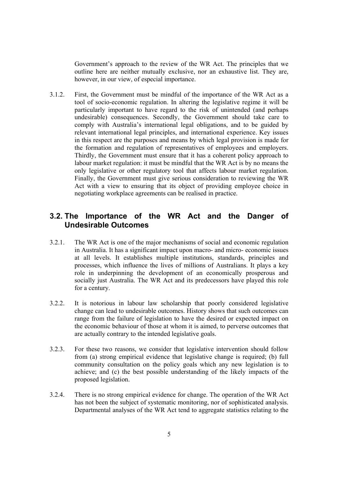Government's approach to the review of the WR Act. The principles that we outline here are neither mutually exclusive, nor an exhaustive list. They are, however, in our view, of especial importance.

3.1.2. First, the Government must be mindful of the importance of the WR Act as a tool of socio-economic regulation. In altering the legislative regime it will be particularly important to have regard to the risk of unintended (and perhaps undesirable) consequences. Secondly, the Government should take care to comply with Australia's international legal obligations, and to be guided by relevant international legal principles, and international experience. Key issues in this respect are the purposes and means by which legal provision is made for the formation and regulation of representatives of employees and employers. Thirdly, the Government must ensure that it has a coherent policy approach to labour market regulation: it must be mindful that the WR Act is by no means the only legislative or other regulatory tool that affects labour market regulation. Finally, the Government must give serious consideration to reviewing the WR Act with a view to ensuring that its object of providing employee choice in negotiating workplace agreements can be realised in practice.

## **3.2. The Importance of the WR Act and the Danger of Undesirable Outcomes**

- 3.2.1. The WR Act is one of the major mechanisms of social and economic regulation in Australia. It has a significant impact upon macro- and micro- economic issues at all levels. It establishes multiple institutions, standards, principles and processes, which influence the lives of millions of Australians. It plays a key role in underpinning the development of an economically prosperous and socially just Australia. The WR Act and its predecessors have played this role for a century.
- 3.2.2. It is notorious in labour law scholarship that poorly considered legislative change can lead to undesirable outcomes. History shows that such outcomes can range from the failure of legislation to have the desired or expected impact on the economic behaviour of those at whom it is aimed, to perverse outcomes that are actually contrary to the intended legislative goals.
- 3.2.3. For these two reasons, we consider that legislative intervention should follow from (a) strong empirical evidence that legislative change is required; (b) full community consultation on the policy goals which any new legislation is to achieve; and (c) the best possible understanding of the likely impacts of the proposed legislation.
- 3.2.4. There is no strong empirical evidence for change. The operation of the WR Act has not been the subject of systematic monitoring, nor of sophisticated analysis. Departmental analyses of the WR Act tend to aggregate statistics relating to the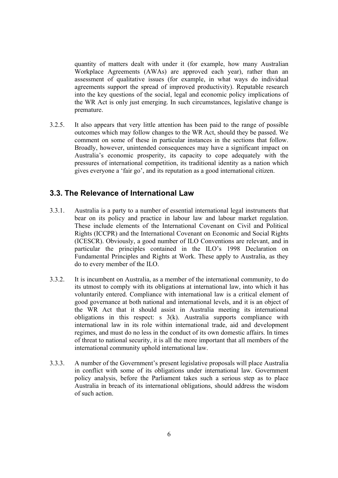quantity of matters dealt with under it (for example, how many Australian Workplace Agreements (AWAs) are approved each year), rather than an assessment of qualitative issues (for example, in what ways do individual agreements support the spread of improved productivity). Reputable research into the key questions of the social, legal and economic policy implications of the WR Act is only just emerging. In such circumstances, legislative change is premature.

3.2.5. It also appears that very little attention has been paid to the range of possible outcomes which may follow changes to the WR Act, should they be passed. We comment on some of these in particular instances in the sections that follow. Broadly, however, unintended consequences may have a significant impact on Australia's economic prosperity, its capacity to cope adequately with the pressures of international competition, its traditional identity as a nation which gives everyone a 'fair go', and its reputation as a good international citizen.

## **3.3. The Relevance of International Law**

- 3.3.1. Australia is a party to a number of essential international legal instruments that bear on its policy and practice in labour law and labour market regulation. These include elements of the International Covenant on Civil and Political Rights (ICCPR) and the International Covenant on Economic and Social Rights (ICESCR). Obviously, a good number of ILO Conventions are relevant, and in particular the principles contained in the ILO's 1998 Declaration on Fundamental Principles and Rights at Work. These apply to Australia, as they do to every member of the ILO.
- 3.3.2. It is incumbent on Australia, as a member of the international community, to do its utmost to comply with its obligations at international law, into which it has voluntarily entered. Compliance with international law is a critical element of good governance at both national and international levels, and it is an object of the WR Act that it should assist in Australia meeting its international obligations in this respect: s 3(k). Australia supports compliance with international law in its role within international trade, aid and development regimes, and must do no less in the conduct of its own domestic affairs. In times of threat to national security, it is all the more important that all members of the international community uphold international law.
- 3.3.3. A number of the Government's present legislative proposals will place Australia in conflict with some of its obligations under international law. Government policy analysis, before the Parliament takes such a serious step as to place Australia in breach of its international obligations, should address the wisdom of such action.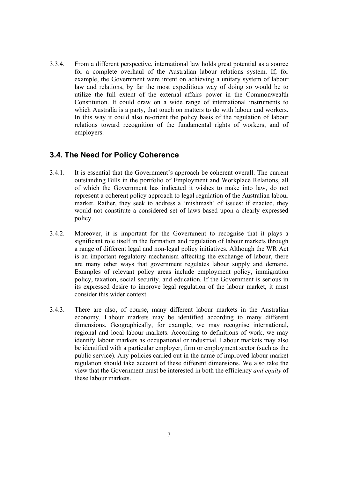3.3.4. From a different perspective, international law holds great potential as a source for a complete overhaul of the Australian labour relations system. If, for example, the Government were intent on achieving a unitary system of labour law and relations, by far the most expeditious way of doing so would be to utilize the full extent of the external affairs power in the Commonwealth Constitution. It could draw on a wide range of international instruments to which Australia is a party, that touch on matters to do with labour and workers. In this way it could also re-orient the policy basis of the regulation of labour relations toward recognition of the fundamental rights of workers, and of employers.

### **3.4. The Need for Policy Coherence**

- 3.4.1. It is essential that the Government's approach be coherent overall. The current outstanding Bills in the portfolio of Employment and Workplace Relations, all of which the Government has indicated it wishes to make into law, do not represent a coherent policy approach to legal regulation of the Australian labour market. Rather, they seek to address a 'mishmash' of issues: if enacted, they would not constitute a considered set of laws based upon a clearly expressed policy.
- 3.4.2. Moreover, it is important for the Government to recognise that it plays a significant role itself in the formation and regulation of labour markets through a range of different legal and non-legal policy initiatives. Although the WR Act is an important regulatory mechanism affecting the exchange of labour, there are many other ways that government regulates labour supply and demand. Examples of relevant policy areas include employment policy, immigration policy, taxation, social security, and education. If the Government is serious in its expressed desire to improve legal regulation of the labour market, it must consider this wider context.
- 3.4.3. There are also, of course, many different labour markets in the Australian economy. Labour markets may be identified according to many different dimensions. Geographically, for example, we may recognise international, regional and local labour markets. According to definitions of work, we may identify labour markets as occupational or industrial. Labour markets may also be identified with a particular employer, firm or employment sector (such as the public service). Any policies carried out in the name of improved labour market regulation should take account of these different dimensions. We also take the view that the Government must be interested in both the efficiency *and equity* of these labour markets.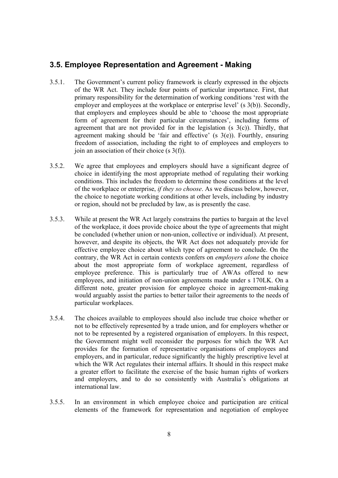## **3.5. Employee Representation and Agreement - Making**

- 3.5.1. The Government's current policy framework is clearly expressed in the objects of the WR Act. They include four points of particular importance. First, that primary responsibility for the determination of working conditions 'rest with the employer and employees at the workplace or enterprise level' (s 3(b)). Secondly, that employers and employees should be able to 'choose the most appropriate form of agreement for their particular circumstances', including forms of agreement that are not provided for in the legislation (s  $3(c)$ ). Thirdly, that agreement making should be 'fair and effective' (s 3(e)). Fourthly, ensuring freedom of association, including the right to of employees and employers to join an association of their choice (s 3(f)).
- 3.5.2. We agree that employees and employers should have a significant degree of choice in identifying the most appropriate method of regulating their working conditions. This includes the freedom to determine those conditions at the level of the workplace or enterprise, *if they so choose*. As we discuss below, however, the choice to negotiate working conditions at other levels, including by industry or region, should not be precluded by law, as is presently the case.
- 3.5.3. While at present the WR Act largely constrains the parties to bargain at the level of the workplace, it does provide choice about the type of agreements that might be concluded (whether union or non-union, collective or individual). At present, however, and despite its objects, the WR Act does not adequately provide for effective employee choice about which type of agreement to conclude. On the contrary, the WR Act in certain contexts confers on *employers alone* the choice about the most appropriate form of workplace agreement, regardless of employee preference. This is particularly true of AWAs offered to new employees, and initiation of non-union agreements made under s 170LK. On a different note, greater provision for employee choice in agreement-making would arguably assist the parties to better tailor their agreements to the needs of particular workplaces.
- 3.5.4. The choices available to employees should also include true choice whether or not to be effectively represented by a trade union, and for employers whether or not to be represented by a registered organisation of employers. In this respect, the Government might well reconsider the purposes for which the WR Act provides for the formation of representative organisations of employees and employers, and in particular, reduce significantly the highly prescriptive level at which the WR Act regulates their internal affairs. It should in this respect make a greater effort to facilitate the exercise of the basic human rights of workers and employers, and to do so consistently with Australia's obligations at international law.
- 3.5.5. In an environment in which employee choice and participation are critical elements of the framework for representation and negotiation of employee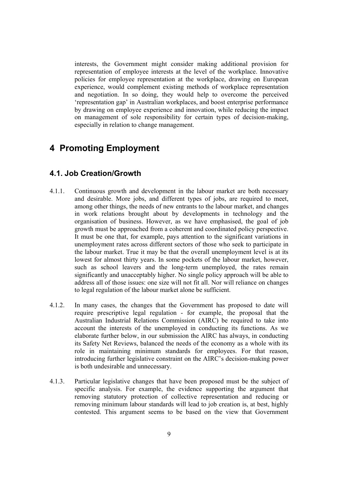interests, the Government might consider making additional provision for representation of employee interests at the level of the workplace. Innovative policies for employee representation at the workplace, drawing on European experience, would complement existing methods of workplace representation and negotiation. In so doing, they would help to overcome the perceived 'representation gap' in Australian workplaces, and boost enterprise performance by drawing on employee experience and innovation, while reducing the impact on management of sole responsibility for certain types of decision-making, especially in relation to change management.

# **4 Promoting Employment**

### **4.1. Job Creation/Growth**

- 4.1.1. Continuous growth and development in the labour market are both necessary and desirable. More jobs, and different types of jobs, are required to meet, among other things, the needs of new entrants to the labour market, and changes in work relations brought about by developments in technology and the organisation of business. However, as we have emphasised, the goal of job growth must be approached from a coherent and coordinated policy perspective. It must be one that, for example, pays attention to the significant variations in unemployment rates across different sectors of those who seek to participate in the labour market. True it may be that the overall unemployment level is at its lowest for almost thirty years. In some pockets of the labour market, however, such as school leavers and the long-term unemployed, the rates remain significantly and unacceptably higher. No single policy approach will be able to address all of those issues: one size will not fit all. Nor will reliance on changes to legal regulation of the labour market alone be sufficient.
- 4.1.2. In many cases, the changes that the Government has proposed to date will require prescriptive legal regulation - for example, the proposal that the Australian Industrial Relations Commission (AIRC) be required to take into account the interests of the unemployed in conducting its functions. As we elaborate further below, in our submission the AIRC has always, in conducting its Safety Net Reviews, balanced the needs of the economy as a whole with its role in maintaining minimum standards for employees. For that reason, introducing further legislative constraint on the AIRC's decision-making power is both undesirable and unnecessary.
- 4.1.3. Particular legislative changes that have been proposed must be the subject of specific analysis. For example, the evidence supporting the argument that removing statutory protection of collective representation and reducing or removing minimum labour standards will lead to job creation is, at best, highly contested. This argument seems to be based on the view that Government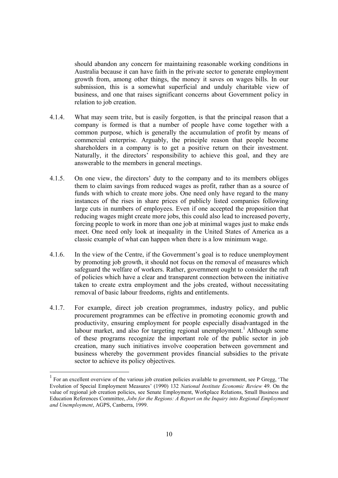should abandon any concern for maintaining reasonable working conditions in Australia because it can have faith in the private sector to generate employment growth from, among other things, the money it saves on wages bills. In our submission, this is a somewhat superficial and unduly charitable view of business, and one that raises significant concerns about Government policy in relation to job creation.

- 4.1.4. What may seem trite, but is easily forgotten, is that the principal reason that a company is formed is that a number of people have come together with a common purpose, which is generally the accumulation of profit by means of commercial enterprise. Arguably, the principle reason that people become shareholders in a company is to get a positive return on their investment. Naturally, it the directors' responsibility to achieve this goal, and they are answerable to the members in general meetings.
- 4.1.5. On one view, the directors' duty to the company and to its members obliges them to claim savings from reduced wages as profit, rather than as a source of funds with which to create more jobs. One need only have regard to the many instances of the rises in share prices of publicly listed companies following large cuts in numbers of employees. Even if one accepted the proposition that reducing wages might create more jobs, this could also lead to increased poverty, forcing people to work in more than one job at minimal wages just to make ends meet. One need only look at inequality in the United States of America as a classic example of what can happen when there is a low minimum wage.
- 4.1.6. In the view of the Centre, if the Government's goal is to reduce unemployment by promoting job growth, it should not focus on the removal of measures which safeguard the welfare of workers. Rather, government ought to consider the raft of policies which have a clear and transparent connection between the initiative taken to create extra employment and the jobs created, without necessitating removal of basic labour freedoms, rights and entitlements.
- 4.1.7. For example, direct job creation programmes, industry policy, and public procurement programmes can be effective in promoting economic growth and productivity, ensuring employment for people especially disadvantaged in the labour market, and also for targeting regional unemployment.<sup>1</sup> Although some of these programs recognize the important role of the public sector in job creation, many such initiatives involve cooperation between government and business whereby the government provides financial subsidies to the private sector to achieve its policy objectives.

<sup>1</sup> For an excellent overview of the various job creation policies available to government, see P Gregg, 'The Evolution of Special Employment Measures' (1990) 132 *National Institute Economic Review* 49. On the value of regional job creation policies, see Senate Employment, Workplace Relations, Small Business and Education References Committee, *Jobs for the Regions: A Report on the Inquiry into Regional Employment and Unemployment*, AGPS, Canberra, 1999.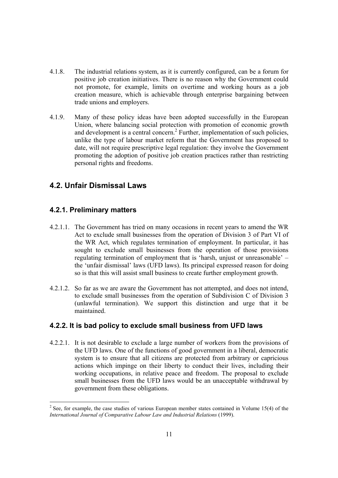- 4.1.8. The industrial relations system, as it is currently configured, can be a forum for positive job creation initiatives. There is no reason why the Government could not promote, for example, limits on overtime and working hours as a job creation measure, which is achievable through enterprise bargaining between trade unions and employers.
- 4.1.9. Many of these policy ideas have been adopted successfully in the European Union, where balancing social protection with promotion of economic growth and development is a central concern.<sup>2</sup> Further, implementation of such policies, unlike the type of labour market reform that the Government has proposed to date, will not require prescriptive legal regulation: they involve the Government promoting the adoption of positive job creation practices rather than restricting personal rights and freedoms.

## **4.2. Unfair Dismissal Laws**

#### **4.2.1. Preliminary matters**

- 4.2.1.1. The Government has tried on many occasions in recent years to amend the WR Act to exclude small businesses from the operation of Division 3 of Part VI of the WR Act, which regulates termination of employment. In particular, it has sought to exclude small businesses from the operation of those provisions regulating termination of employment that is 'harsh, unjust or unreasonable' – the 'unfair dismissal' laws (UFD laws). Its principal expressed reason for doing so is that this will assist small business to create further employment growth.
- 4.2.1.2. So far as we are aware the Government has not attempted, and does not intend, to exclude small businesses from the operation of Subdivision C of Division 3 (unlawful termination). We support this distinction and urge that it be maintained.

#### **4.2.2. It is bad policy to exclude small business from UFD laws**

4.2.2.1. It is not desirable to exclude a large number of workers from the provisions of the UFD laws. One of the functions of good government in a liberal, democratic system is to ensure that all citizens are protected from arbitrary or capricious actions which impinge on their liberty to conduct their lives, including their working occupations, in relative peace and freedom. The proposal to exclude small businesses from the UFD laws would be an unacceptable withdrawal by government from these obligations.

 $2^2$  See, for example, the case studies of various European member states contained in Volume 15(4) of the *International Journal of Comparative Labour Law and Industrial Relations* (1999).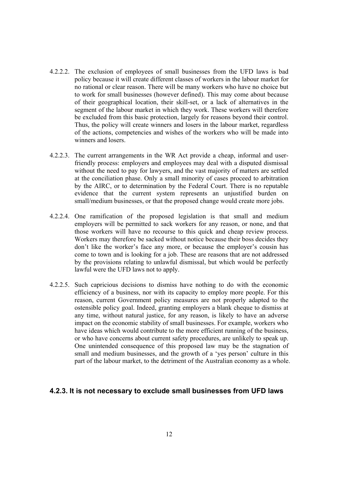- 4.2.2.2. The exclusion of employees of small businesses from the UFD laws is bad policy because it will create different classes of workers in the labour market for no rational or clear reason. There will be many workers who have no choice but to work for small businesses (however defined). This may come about because of their geographical location, their skill-set, or a lack of alternatives in the segment of the labour market in which they work. These workers will therefore be excluded from this basic protection, largely for reasons beyond their control. Thus, the policy will create winners and losers in the labour market, regardless of the actions, competencies and wishes of the workers who will be made into winners and losers.
- 4.2.2.3. The current arrangements in the WR Act provide a cheap, informal and userfriendly process: employers and employees may deal with a disputed dismissal without the need to pay for lawyers, and the vast majority of matters are settled at the conciliation phase. Only a small minority of cases proceed to arbitration by the AIRC, or to determination by the Federal Court. There is no reputable evidence that the current system represents an unjustified burden on small/medium businesses, or that the proposed change would create more jobs.
- 4.2.2.4. One ramification of the proposed legislation is that small and medium employers will be permitted to sack workers for any reason, or none, and that those workers will have no recourse to this quick and cheap review process. Workers may therefore be sacked without notice because their boss decides they don't like the worker's face any more, or because the employer's cousin has come to town and is looking for a job. These are reasons that are not addressed by the provisions relating to unlawful dismissal, but which would be perfectly lawful were the UFD laws not to apply.
- 4.2.2.5. Such capricious decisions to dismiss have nothing to do with the economic efficiency of a business, nor with its capacity to employ more people. For this reason, current Government policy measures are not properly adapted to the ostensible policy goal. Indeed, granting employers a blank cheque to dismiss at any time, without natural justice, for any reason, is likely to have an adverse impact on the economic stability of small businesses. For example, workers who have ideas which would contribute to the more efficient running of the business, or who have concerns about current safety procedures, are unlikely to speak up. One unintended consequence of this proposed law may be the stagnation of small and medium businesses, and the growth of a 'yes person' culture in this part of the labour market, to the detriment of the Australian economy as a whole.

#### **4.2.3. It is not necessary to exclude small businesses from UFD laws**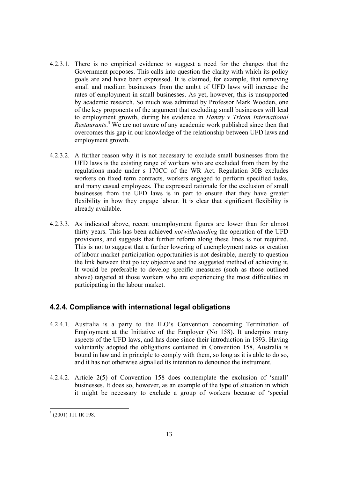- 4.2.3.1. There is no empirical evidence to suggest a need for the changes that the Government proposes. This calls into question the clarity with which its policy goals are and have been expressed. It is claimed, for example, that removing small and medium businesses from the ambit of UFD laws will increase the rates of employment in small businesses. As yet, however, this is unsupported by academic research. So much was admitted by Professor Mark Wooden, one of the key proponents of the argument that excluding small businesses will lead to employment growth, during his evidence in *Hamzy v Tricon International Restaurants*. 3 We are not aware of any academic work published since then that overcomes this gap in our knowledge of the relationship between UFD laws and employment growth.
- 4.2.3.2. A further reason why it is not necessary to exclude small businesses from the UFD laws is the existing range of workers who are excluded from them by the regulations made under s 170CC of the WR Act. Regulation 30B excludes workers on fixed term contracts, workers engaged to perform specified tasks, and many casual employees. The expressed rationale for the exclusion of small businesses from the UFD laws is in part to ensure that they have greater flexibility in how they engage labour. It is clear that significant flexibility is already available.
- 4.2.3.3. As indicated above, recent unemployment figures are lower than for almost thirty years. This has been achieved *notwithstanding* the operation of the UFD provisions, and suggests that further reform along these lines is not required. This is not to suggest that a further lowering of unemployment rates or creation of labour market participation opportunities is not desirable, merely to question the link between that policy objective and the suggested method of achieving it. It would be preferable to develop specific measures (such as those outlined above) targeted at those workers who are experiencing the most difficulties in participating in the labour market.

### **4.2.4. Compliance with international legal obligations**

- 4.2.4.1. Australia is a party to the ILO's Convention concerning Termination of Employment at the Initiative of the Employer (No 158). It underpins many aspects of the UFD laws, and has done since their introduction in 1993. Having voluntarily adopted the obligations contained in Convention 158, Australia is bound in law and in principle to comply with them, so long as it is able to do so, and it has not otherwise signalled its intention to denounce the instrument.
- 4.2.4.2. Article 2(5) of Convention 158 does contemplate the exclusion of 'small' businesses. It does so, however, as an example of the type of situation in which it might be necessary to exclude a group of workers because of 'special

  $3$  (2001) 111 IR 198.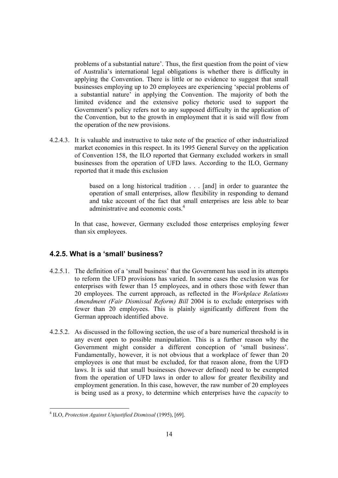problems of a substantial nature'. Thus, the first question from the point of view of Australia's international legal obligations is whether there is difficulty in applying the Convention. There is little or no evidence to suggest that small businesses employing up to 20 employees are experiencing 'special problems of a substantial nature' in applying the Convention. The majority of both the limited evidence and the extensive policy rhetoric used to support the Government's policy refers not to any supposed difficulty in the application of the Convention, but to the growth in employment that it is said will flow from the operation of the new provisions.

4.2.4.3. It is valuable and instructive to take note of the practice of other industrialized market economies in this respect. In its 1995 General Survey on the application of Convention 158, the ILO reported that Germany excluded workers in small businesses from the operation of UFD laws. According to the ILO, Germany reported that it made this exclusion

> based on a long historical tradition . . . [and] in order to guarantee the operation of small enterprises, allow flexibility in responding to demand and take account of the fact that small enterprises are less able to bear administrative and economic costs<sup>4</sup>

In that case, however, Germany excluded those enterprises employing fewer than six employees.

#### **4.2.5. What is a 'small' business?**

- 4.2.5.1. The definition of a 'small business' that the Government has used in its attempts to reform the UFD provisions has varied. In some cases the exclusion was for enterprises with fewer than 15 employees, and in others those with fewer than 20 employees. The current approach, as reflected in the *Workplace Relations Amendment (Fair Dismissal Reform) Bill* 2004 is to exclude enterprises with fewer than 20 employees. This is plainly significantly different from the German approach identified above.
- 4.2.5.2. As discussed in the following section, the use of a bare numerical threshold is in any event open to possible manipulation. This is a further reason why the Government might consider a different conception of 'small business'. Fundamentally, however, it is not obvious that a workplace of fewer than 20 employees is one that must be excluded, for that reason alone, from the UFD laws. It is said that small businesses (however defined) need to be exempted from the operation of UFD laws in order to allow for greater flexibility and employment generation. In this case, however, the raw number of 20 employees is being used as a proxy, to determine which enterprises have the *capacity* to

<sup>4</sup> ILO, *Protection Against Unjustified Dismissal* (1995), [69].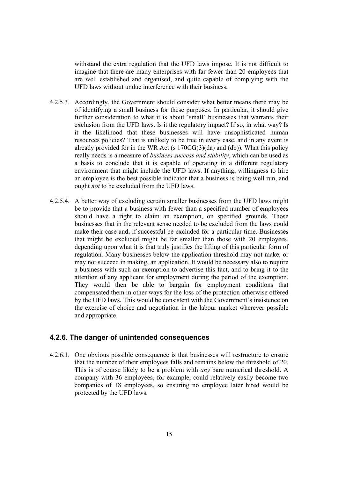withstand the extra regulation that the UFD laws impose. It is not difficult to imagine that there are many enterprises with far fewer than 20 employees that are well established and organised, and quite capable of complying with the UFD laws without undue interference with their business.

- 4.2.5.3. Accordingly, the Government should consider what better means there may be of identifying a small business for these purposes. In particular, it should give further consideration to what it is about 'small' businesses that warrants their exclusion from the UFD laws. Is it the regulatory impact? If so, in what way? Is it the likelihood that these businesses will have unsophisticated human resources policies? That is unlikely to be true in every case, and in any event is already provided for in the WR Act (s  $170CG(3)(da)$  and (db)). What this policy really needs is a measure of *business success and stability*, which can be used as a basis to conclude that it is capable of operating in a different regulatory environment that might include the UFD laws. If anything, willingness to hire an employee is the best possible indicator that a business is being well run, and ought *not* to be excluded from the UFD laws.
- 4.2.5.4. A better way of excluding certain smaller businesses from the UFD laws might be to provide that a business with fewer than a specified number of employees should have a right to claim an exemption, on specified grounds. Those businesses that in the relevant sense needed to be excluded from the laws could make their case and, if successful be excluded for a particular time. Businesses that might be excluded might be far smaller than those with 20 employees, depending upon what it is that truly justifies the lifting of this particular form of regulation. Many businesses below the application threshold may not make, or may not succeed in making, an application. It would be necessary also to require a business with such an exemption to advertise this fact, and to bring it to the attention of any applicant for employment during the period of the exemption. They would then be able to bargain for employment conditions that compensated them in other ways for the loss of the protection otherwise offered by the UFD laws. This would be consistent with the Government's insistence on the exercise of choice and negotiation in the labour market wherever possible and appropriate.

#### **4.2.6. The danger of unintended consequences**

4.2.6.1. One obvious possible consequence is that businesses will restructure to ensure that the number of their employees falls and remains below the threshold of 20. This is of course likely to be a problem with *any* bare numerical threshold. A company with 36 employees, for example, could relatively easily become two companies of 18 employees, so ensuring no employee later hired would be protected by the UFD laws.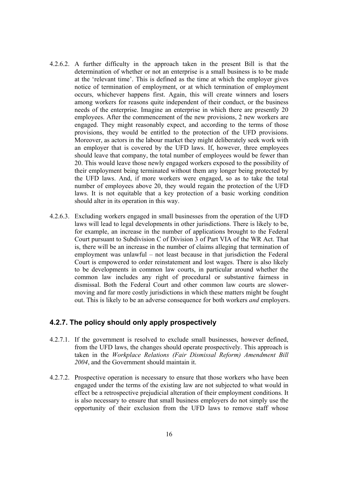- 4.2.6.2. A further difficulty in the approach taken in the present Bill is that the determination of whether or not an enterprise is a small business is to be made at the 'relevant time'. This is defined as the time at which the employer gives notice of termination of employment, or at which termination of employment occurs, whichever happens first. Again, this will create winners and losers among workers for reasons quite independent of their conduct, or the business needs of the enterprise. Imagine an enterprise in which there are presently 20 employees. After the commencement of the new provisions, 2 new workers are engaged. They might reasonably expect, and according to the terms of those provisions, they would be entitled to the protection of the UFD provisions. Moreover, as actors in the labour market they might deliberately seek work with an employer that is covered by the UFD laws. If, however, three employees should leave that company, the total number of employees would be fewer than 20. This would leave those newly engaged workers exposed to the possibility of their employment being terminated without them any longer being protected by the UFD laws. And, if more workers were engaged, so as to take the total number of employees above 20, they would regain the protection of the UFD laws. It is not equitable that a key protection of a basic working condition should alter in its operation in this way.
- 4.2.6.3. Excluding workers engaged in small businesses from the operation of the UFD laws will lead to legal developments in other jurisdictions. There is likely to be, for example, an increase in the number of applications brought to the Federal Court pursuant to Subdivision C of Division 3 of Part VIA of the WR Act. That is, there will be an increase in the number of claims alleging that termination of employment was unlawful – not least because in that jurisdiction the Federal Court is empowered to order reinstatement and lost wages. There is also likely to be developments in common law courts, in particular around whether the common law includes any right of procedural or substantive fairness in dismissal. Both the Federal Court and other common law courts are slowermoving and far more costly jurisdictions in which these matters might be fought out. This is likely to be an adverse consequence for both workers *and* employers.

#### **4.2.7. The policy should only apply prospectively**

- 4.2.7.1. If the government is resolved to exclude small businesses, however defined, from the UFD laws, the changes should operate prospectively. This approach is taken in the *Workplace Relations (Fair Dismissal Reform) Amendment Bill 2004*, and the Government should maintain it.
- 4.2.7.2. Prospective operation is necessary to ensure that those workers who have been engaged under the terms of the existing law are not subjected to what would in effect be a retrospective prejudicial alteration of their employment conditions. It is also necessary to ensure that small business employers do not simply use the opportunity of their exclusion from the UFD laws to remove staff whose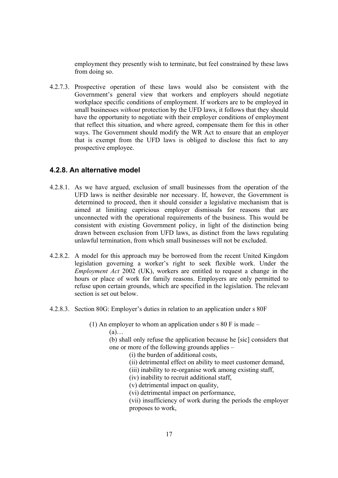employment they presently wish to terminate, but feel constrained by these laws from doing so.

4.2.7.3. Prospective operation of these laws would also be consistent with the Government's general view that workers and employers should negotiate workplace specific conditions of employment. If workers are to be employed in small businesses *without* protection by the UFD laws, it follows that they should have the opportunity to negotiate with their employer conditions of employment that reflect this situation, and where agreed, compensate them for this in other ways. The Government should modify the WR Act to ensure that an employer that is exempt from the UFD laws is obliged to disclose this fact to any prospective employee.

#### **4.2.8. An alternative model**

- 4.2.8.1. As we have argued, exclusion of small businesses from the operation of the UFD laws is neither desirable nor necessary. If, however, the Government is determined to proceed, then it should consider a legislative mechanism that is aimed at limiting capricious employer dismissals for reasons that are unconnected with the operational requirements of the business. This would be consistent with existing Government policy, in light of the distinction being drawn between exclusion from UFD laws, as distinct from the laws regulating unlawful termination, from which small businesses will not be excluded.
- 4.2.8.2. A model for this approach may be borrowed from the recent United Kingdom legislation governing a worker's right to seek flexible work. Under the *Employment Act* 2002 (UK), workers are entitled to request a change in the hours or place of work for family reasons. Employers are only permitted to refuse upon certain grounds, which are specified in the legislation. The relevant section is set out below.
- 4.2.8.3. Section 80G: Employer's duties in relation to an application under s 80F

(1) An employer to whom an application under s 80 F is made  $-$ 

 $(a)$ …

(b) shall only refuse the application because he [sic] considers that one or more of the following grounds applies –

(i) the burden of additional costs,

- (ii) detrimental effect on ability to meet customer demand,
- (iii) inability to re-organise work among existing staff,
- (iv) inability to recruit additional staff,
- (v) detrimental impact on quality,
- (vi) detrimental impact on performance,

(vii) insufficiency of work during the periods the employer proposes to work,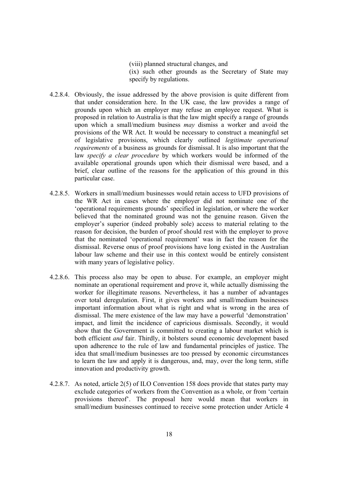(viii) planned structural changes, and (ix) such other grounds as the Secretary of State may specify by regulations.

- 4.2.8.4. Obviously, the issue addressed by the above provision is quite different from that under consideration here. In the UK case, the law provides a range of grounds upon which an employer may refuse an employee request. What is proposed in relation to Australia is that the law might specify a range of grounds upon which a small/medium business *may* dismiss a worker and avoid the provisions of the WR Act. It would be necessary to construct a meaningful set of legislative provisions, which clearly outlined *legitimate operational requirements* of a business as grounds for dismissal. It is also important that the law *specify a clear procedure* by which workers would be informed of the available operational grounds upon which their dismissal were based, and a brief, clear outline of the reasons for the application of this ground in this particular case.
- 4.2.8.5. Workers in small/medium businesses would retain access to UFD provisions of the WR Act in cases where the employer did not nominate one of the 'operational requirements grounds' specified in legislation, or where the worker believed that the nominated ground was not the genuine reason. Given the employer's superior (indeed probably sole) access to material relating to the reason for decision, the burden of proof should rest with the employer to prove that the nominated 'operational requirement' was in fact the reason for the dismissal. Reverse onus of proof provisions have long existed in the Australian labour law scheme and their use in this context would be entirely consistent with many years of legislative policy.
- 4.2.8.6. This process also may be open to abuse. For example, an employer might nominate an operational requirement and prove it, while actually dismissing the worker for illegitimate reasons. Nevertheless, it has a number of advantages over total deregulation. First, it gives workers and small/medium businesses important information about what is right and what is wrong in the area of dismissal. The mere existence of the law may have a powerful 'demonstration' impact, and limit the incidence of capricious dismissals. Secondly, it would show that the Government is committed to creating a labour market which is both efficient *and* fair. Thirdly, it bolsters sound economic development based upon adherence to the rule of law and fundamental principles of justice. The idea that small/medium businesses are too pressed by economic circumstances to learn the law and apply it is dangerous, and, may, over the long term, stifle innovation and productivity growth.
- 4.2.8.7. As noted, article 2(5) of ILO Convention 158 does provide that states party may exclude categories of workers from the Convention as a whole, or from 'certain provisions thereof'. The proposal here would mean that workers in small/medium businesses continued to receive some protection under Article 4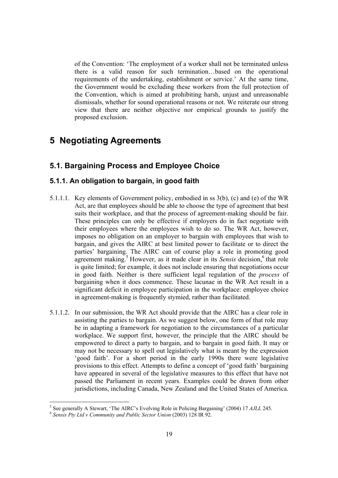of the Convention: 'The employment of a worker shall not be terminated unless there is a valid reason for such termination…based on the operational requirements of the undertaking, establishment or service.' At the same time, the Government would be excluding these workers from the full protection of the Convention, which is aimed at prohibiting harsh, unjust and unreasonable dismissals, whether for sound operational reasons or not. We reiterate our strong view that there are neither objective nor empirical grounds to justify the proposed exclusion.

# **5 Negotiating Agreements**

# **5.1. Bargaining Process and Employee Choice**

#### **5.1.1. An obligation to bargain, in good faith**

- 5.1.1.1. Key elements of Government policy, embodied in ss 3(b), (c) and (e) of the WR Act, are that employees should be able to choose the type of agreement that best suits their workplace, and that the process of agreement-making should be fair. These principles can only be effective if employers do in fact negotiate with their employees where the employees wish to do so. The WR Act, however, imposes no obligation on an employer to bargain with employees that wish to bargain, and gives the AIRC at best limited power to facilitate or to direct the parties' bargaining. The AIRC can of course play a role in promoting good agreement making.<sup>5</sup> However, as it made clear in its *Sensis* decision,<sup>6</sup> that role is quite limited; for example, it does not include ensuring that negotiations occur in good faith. Neither is there sufficient legal regulation of the *process* of bargaining when it does commence. These lacunae in the WR Act result in a significant deficit in employee participation in the workplace: employee choice in agreement-making is frequently stymied, rather than facilitated.
- 5.1.1.2. In our submission, the WR Act should provide that the AIRC has a clear role in assisting the parties to bargain. As we suggest below, one form of that role may be in adapting a framework for negotiation to the circumstances of a particular workplace. We support first, however, the principle that the AIRC should be empowered to direct a party to bargain, and to bargain in good faith. It may or may not be necessary to spell out legislatively what is meant by the expression 'good faith'. For a short period in the early 1990s there were legislative provisions to this effect. Attempts to define a concept of 'good faith' bargaining have appeared in several of the legislative measures to this effect that have not passed the Parliament in recent years. Examples could be drawn from other jurisdictions, including Canada, New Zealand and the United States of America.

<sup>&</sup>lt;sup>5</sup> See generally A Stewart, 'The AIRC's Evolving Role in Policing Bargaining' (2004) 17 *AJLL* 245.

<sup>&</sup>lt;sup>6</sup> Sensis Pty Ltd v Community and Public Sector Union (2003) 128 IR 92.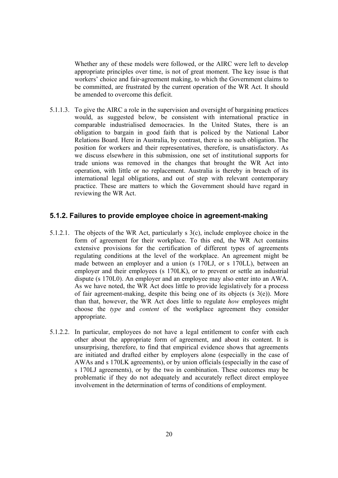Whether any of these models were followed, or the AIRC were left to develop appropriate principles over time, is not of great moment. The key issue is that workers' choice and fair-agreement making, to which the Government claims to be committed, are frustrated by the current operation of the WR Act. It should be amended to overcome this deficit.

5.1.1.3. To give the AIRC a role in the supervision and oversight of bargaining practices would, as suggested below, be consistent with international practice in comparable industrialised democracies. In the United States, there is an obligation to bargain in good faith that is policed by the National Labor Relations Board. Here in Australia, by contrast, there is no such obligation. The position for workers and their representatives, therefore, is unsatisfactory. As we discuss elsewhere in this submission, one set of institutional supports for trade unions was removed in the changes that brought the WR Act into operation, with little or no replacement. Australia is thereby in breach of its international legal obligations, and out of step with relevant contemporary practice. These are matters to which the Government should have regard in reviewing the WR Act.

#### **5.1.2. Failures to provide employee choice in agreement-making**

- 5.1.2.1. The objects of the WR Act, particularly s 3(c), include employee choice in the form of agreement for their workplace. To this end, the WR Act contains extensive provisions for the certification of different types of agreements regulating conditions at the level of the workplace. An agreement might be made between an employer and a union (s 170LJ, or s 170LL), between an employer and their employees (s 170LK), or to prevent or settle an industrial dispute (s 170L0). An employer and an employee may also enter into an AWA. As we have noted, the WR Act does little to provide legislatively for a process of fair agreement-making, despite this being one of its objects (s 3(e)). More than that, however, the WR Act does little to regulate *how* employees might choose the *type* and *content* of the workplace agreement they consider appropriate.
- 5.1.2.2. In particular, employees do not have a legal entitlement to confer with each other about the appropriate form of agreement, and about its content. It is unsurprising, therefore, to find that empirical evidence shows that agreements are initiated and drafted either by employers alone (especially in the case of AWAs and s 170LK agreements), or by union officials (especially in the case of s 170LJ agreements), or by the two in combination. These outcomes may be problematic if they do not adequately and accurately reflect direct employee involvement in the determination of terms of conditions of employment.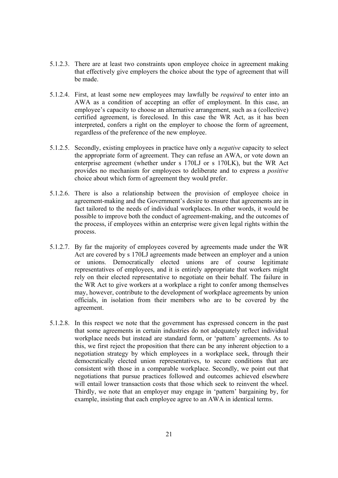- 5.1.2.3. There are at least two constraints upon employee choice in agreement making that effectively give employers the choice about the type of agreement that will be made.
- 5.1.2.4. First, at least some new employees may lawfully be *required* to enter into an AWA as a condition of accepting an offer of employment. In this case, an employee's capacity to choose an alternative arrangement, such as a (collective) certified agreement, is foreclosed. In this case the WR Act, as it has been interpreted, confers a right on the employer to choose the form of agreement, regardless of the preference of the new employee.
- 5.1.2.5. Secondly, existing employees in practice have only a *negative* capacity to select the appropriate form of agreement. They can refuse an AWA, or vote down an enterprise agreement (whether under s 170LJ or s 170LK), but the WR Act provides no mechanism for employees to deliberate and to express a *positive*  choice about which form of agreement they would prefer.
- 5.1.2.6. There is also a relationship between the provision of employee choice in agreement-making and the Government's desire to ensure that agreements are in fact tailored to the needs of individual workplaces. In other words, it would be possible to improve both the conduct of agreement-making, and the outcomes of the process, if employees within an enterprise were given legal rights within the process.
- 5.1.2.7. By far the majority of employees covered by agreements made under the WR Act are covered by s 170LJ agreements made between an employer and a union or unions. Democratically elected unions are of course legitimate representatives of employees, and it is entirely appropriate that workers might rely on their elected representative to negotiate on their behalf. The failure in the WR Act to give workers at a workplace a right to confer among themselves may, however, contribute to the development of workplace agreements by union officials, in isolation from their members who are to be covered by the agreement.
- 5.1.2.8. In this respect we note that the government has expressed concern in the past that some agreements in certain industries do not adequately reflect individual workplace needs but instead are standard form, or 'pattern' agreements. As to this, we first reject the proposition that there can be any inherent objection to a negotiation strategy by which employees in a workplace seek, through their democratically elected union representatives, to secure conditions that are consistent with those in a comparable workplace. Secondly, we point out that negotiations that pursue practices followed and outcomes achieved elsewhere will entail lower transaction costs that those which seek to reinvent the wheel. Thirdly, we note that an employer may engage in 'pattern' bargaining by, for example, insisting that each employee agree to an AWA in identical terms.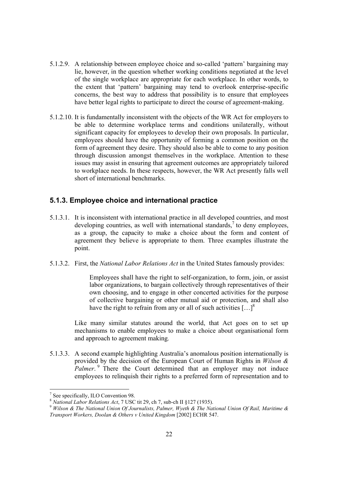- 5.1.2.9. A relationship between employee choice and so-called 'pattern' bargaining may lie, however, in the question whether working conditions negotiated at the level of the single workplace are appropriate for each workplace. In other words, to the extent that 'pattern' bargaining may tend to overlook enterprise-specific concerns, the best way to address that possibility is to ensure that employees have better legal rights to participate to direct the course of agreement-making.
- 5.1.2.10. It is fundamentally inconsistent with the objects of the WR Act for employers to be able to determine workplace terms and conditions unilaterally, without significant capacity for employees to develop their own proposals. In particular, employees should have the opportunity of forming a common position on the form of agreement they desire. They should also be able to come to any position through discussion amongst themselves in the workplace. Attention to these issues may assist in ensuring that agreement outcomes are appropriately tailored to workplace needs. In these respects, however, the WR Act presently falls well short of international benchmarks.

#### **5.1.3. Employee choice and international practice**

- 5.1.3.1. It is inconsistent with international practice in all developed countries, and most developing countries, as well with international standards,<sup>7</sup> to deny employees, as a group, the capacity to make a choice about the form and content of agreement they believe is appropriate to them. Three examples illustrate the point.
- 5.1.3.2. First, the *National Labor Relations Act* in the United States famously provides:

Employees shall have the right to self-organization, to form, join, or assist labor organizations, to bargain collectively through representatives of their own choosing, and to engage in other concerted activities for the purpose of collective bargaining or other mutual aid or protection, and shall also have the right to refrain from any or all of such activities  $[...]^8$ 

Like many similar statutes around the world, that Act goes on to set up mechanisms to enable employees to make a choice about organisational form and approach to agreement making*.*

5.1.3.3. A second example highlighting Australia's anomalous position internationally is provided by the decision of the European Court of Human Rights in *Wilson & Palmer*.<sup>9</sup> There the Court determined that an employer may not induce employees to relinquish their rights to a preferred form of representation and to

<sup>7</sup> See specifically, ILO Convention 98.

<sup>8</sup> *National Labor Relations Act*, 7 USC tit 29, ch 7, sub-ch II §127 (1935). 9 *Wilson & The National Union Of Journalists, Palmer, Wyeth & The National Union Of Rail, Maritime & Transport Workers, Doolan & Others v United Kingdom* [2002] ECHR 547.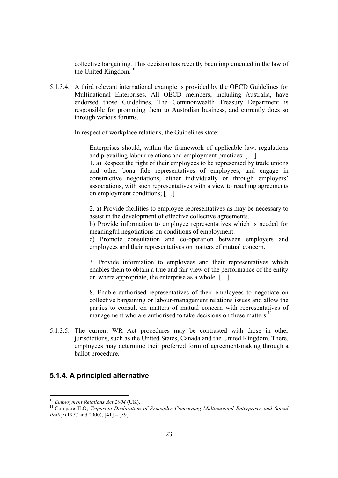collective bargaining. This decision has recently been implemented in the law of the United Kingdom. $10$ 

5.1.3.4. A third relevant international example is provided by the OECD Guidelines for Multinational Enterprises. All OECD members, including Australia, have endorsed those Guidelines. The Commonwealth Treasury Department is responsible for promoting them to Australian business, and currently does so through various forums.

In respect of workplace relations, the Guidelines state:

Enterprises should, within the framework of applicable law, regulations and prevailing labour relations and employment practices: […]

1. a) Respect the right of their employees to be represented by trade unions and other bona fide representatives of employees, and engage in constructive negotiations, either individually or through employers' associations, with such representatives with a view to reaching agreements on employment conditions; […]

2. a) Provide facilities to employee representatives as may be necessary to assist in the development of effective collective agreements.

b) Provide information to employee representatives which is needed for meaningful negotiations on conditions of employment.

c) Promote consultation and co-operation between employers and employees and their representatives on matters of mutual concern.

3. Provide information to employees and their representatives which enables them to obtain a true and fair view of the performance of the entity or, where appropriate, the enterprise as a whole. […]

8. Enable authorised representatives of their employees to negotiate on collective bargaining or labour-management relations issues and allow the parties to consult on matters of mutual concern with representatives of management who are authorised to take decisions on these matters. $<sup>11</sup>$ </sup>

5.1.3.5. The current WR Act procedures may be contrasted with those in other jurisdictions, such as the United States, Canada and the United Kingdom. There, employees may determine their preferred form of agreement-making through a ballot procedure.

#### **5.1.4. A principled alternative**

 $10$  Employment Relations Act 2004 (UK).

<sup>&</sup>lt;sup>11</sup> Compare ILO, *Tripartite Declaration of Principles Concerning Multinational Enterprises and Social Policy* (1977 and 2000), [41] – [59].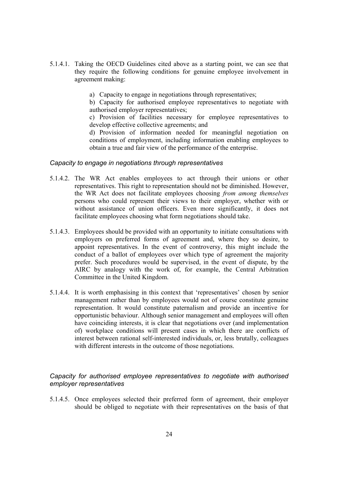- 5.1.4.1. Taking the OECD Guidelines cited above as a starting point, we can see that they require the following conditions for genuine employee involvement in agreement making:
	- a) Capacity to engage in negotiations through representatives;

b) Capacity for authorised employee representatives to negotiate with authorised employer representatives;

c) Provision of facilities necessary for employee representatives to develop effective collective agreements; and

d) Provision of information needed for meaningful negotiation on conditions of employment, including information enabling employees to obtain a true and fair view of the performance of the enterprise.

#### *Capacity to engage in negotiations through representatives*

- 5.1.4.2. The WR Act enables employees to act through their unions or other representatives. This right to representation should not be diminished. However, the WR Act does not facilitate employees choosing *from among themselves* persons who could represent their views to their employer, whether with or without assistance of union officers. Even more significantly, it does not facilitate employees choosing what form negotiations should take.
- 5.1.4.3. Employees should be provided with an opportunity to initiate consultations with employers on preferred forms of agreement and, where they so desire, to appoint representatives. In the event of controversy, this might include the conduct of a ballot of employees over which type of agreement the majority prefer. Such procedures would be supervised, in the event of dispute, by the AIRC by analogy with the work of, for example, the Central Arbitration Committee in the United Kingdom.
- 5.1.4.4. It is worth emphasising in this context that 'representatives' chosen by senior management rather than by employees would not of course constitute genuine representation. It would constitute paternalism and provide an incentive for opportunistic behaviour. Although senior management and employees will often have coinciding interests, it is clear that negotiations over (and implementation of) workplace conditions will present cases in which there are conflicts of interest between rational self-interested individuals, or, less brutally, colleagues with different interests in the outcome of those negotiations.

#### *Capacity for authorised employee representatives to negotiate with authorised employer representatives*

5.1.4.5. Once employees selected their preferred form of agreement, their employer should be obliged to negotiate with their representatives on the basis of that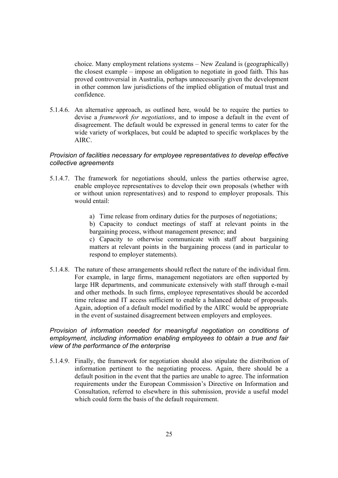choice. Many employment relations systems – New Zealand is (geographically) the closest example – impose an obligation to negotiate in good faith. This has proved controversial in Australia, perhaps unnecessarily given the development in other common law jurisdictions of the implied obligation of mutual trust and confidence.

5.1.4.6. An alternative approach, as outlined here, would be to require the parties to devise a *framework for negotiations*, and to impose a default in the event of disagreement. The default would be expressed in general terms to cater for the wide variety of workplaces, but could be adapted to specific workplaces by the AIRC.

#### *Provision of facilities necessary for employee representatives to develop effective collective agreements*

- 5.1.4.7. The framework for negotiations should, unless the parties otherwise agree, enable employee representatives to develop their own proposals (whether with or without union representatives) and to respond to employer proposals. This would entail:
	- a) Time release from ordinary duties for the purposes of negotiations;
	- b) Capacity to conduct meetings of staff at relevant points in the bargaining process, without management presence; and

c) Capacity to otherwise communicate with staff about bargaining matters at relevant points in the bargaining process (and in particular to respond to employer statements).

5.1.4.8. The nature of these arrangements should reflect the nature of the individual firm. For example, in large firms, management negotiators are often supported by large HR departments, and communicate extensively with staff through e-mail and other methods. In such firms, employee representatives should be accorded time release and IT access sufficient to enable a balanced debate of proposals. Again, adoption of a default model modified by the AIRC would be appropriate in the event of sustained disagreement between employers and employees.

#### *Provision of information needed for meaningful negotiation on conditions of employment, including information enabling employees to obtain a true and fair view of the performance of the enterprise*

5.1.4.9. Finally, the framework for negotiation should also stipulate the distribution of information pertinent to the negotiating process. Again, there should be a default position in the event that the parties are unable to agree. The information requirements under the European Commission's Directive on Information and Consultation, referred to elsewhere in this submission, provide a useful model which could form the basis of the default requirement.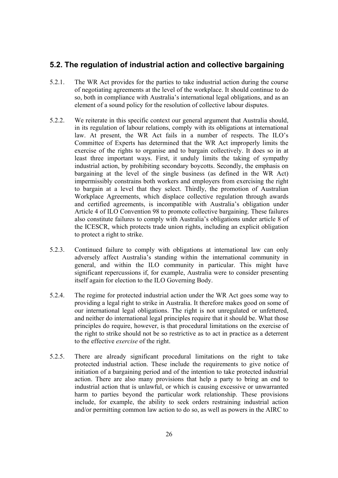# **5.2. The regulation of industrial action and collective bargaining**

- 5.2.1. The WR Act provides for the parties to take industrial action during the course of negotiating agreements at the level of the workplace. It should continue to do so, both in compliance with Australia's international legal obligations, and as an element of a sound policy for the resolution of collective labour disputes.
- 5.2.2. We reiterate in this specific context our general argument that Australia should, in its regulation of labour relations, comply with its obligations at international law. At present, the WR Act fails in a number of respects. The ILO's Committee of Experts has determined that the WR Act improperly limits the exercise of the rights to organise and to bargain collectively. It does so in at least three important ways. First, it unduly limits the taking of sympathy industrial action, by prohibiting secondary boycotts. Secondly, the emphasis on bargaining at the level of the single business (as defined in the WR Act) impermissibly constrains both workers and employers from exercising the right to bargain at a level that they select. Thirdly, the promotion of Australian Workplace Agreements, which displace collective regulation through awards and certified agreements, is incompatible with Australia's obligation under Article 4 of ILO Convention 98 to promote collective bargaining. These failures also constitute failures to comply with Australia's obligations under article 8 of the ICESCR, which protects trade union rights, including an explicit obligation to protect a right to strike.
- 5.2.3. Continued failure to comply with obligations at international law can only adversely affect Australia's standing within the international community in general, and within the ILO community in particular. This might have significant repercussions if, for example, Australia were to consider presenting itself again for election to the ILO Governing Body.
- 5.2.4. The regime for protected industrial action under the WR Act goes some way to providing a legal right to strike in Australia. It therefore makes good on some of our international legal obligations. The right is not unregulated or unfettered, and neither do international legal principles require that it should be. What those principles do require, however, is that procedural limitations on the exercise of the right to strike should not be so restrictive as to act in practice as a deterrent to the effective *exercise* of the right.
- 5.2.5. There are already significant procedural limitations on the right to take protected industrial action. These include the requirements to give notice of initiation of a bargaining period and of the intention to take protected industrial action. There are also many provisions that help a party to bring an end to industrial action that is unlawful, or which is causing excessive or unwarranted harm to parties beyond the particular work relationship. These provisions include, for example, the ability to seek orders restraining industrial action and/or permitting common law action to do so, as well as powers in the AIRC to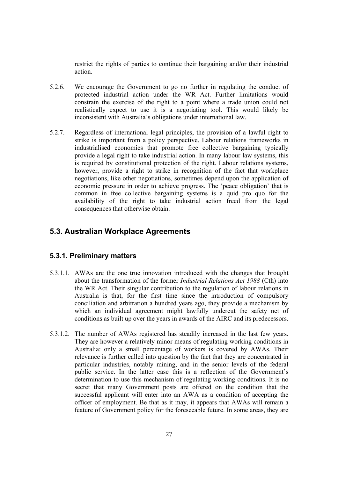restrict the rights of parties to continue their bargaining and/or their industrial action.

- 5.2.6. We encourage the Government to go no further in regulating the conduct of protected industrial action under the WR Act. Further limitations would constrain the exercise of the right to a point where a trade union could not realistically expect to use it is a negotiating tool. This would likely be inconsistent with Australia's obligations under international law.
- 5.2.7. Regardless of international legal principles, the provision of a lawful right to strike is important from a policy perspective. Labour relations frameworks in industrialised economies that promote free collective bargaining typically provide a legal right to take industrial action. In many labour law systems, this is required by constitutional protection of the right. Labour relations systems, however, provide a right to strike in recognition of the fact that workplace negotiations, like other negotiations, sometimes depend upon the application of economic pressure in order to achieve progress. The 'peace obligation' that is common in free collective bargaining systems is a quid pro quo for the availability of the right to take industrial action freed from the legal consequences that otherwise obtain.

# **5.3. Australian Workplace Agreements**

### **5.3.1. Preliminary matters**

- 5.3.1.1. AWAs are the one true innovation introduced with the changes that brought about the transformation of the former *Industrial Relations Act 1988* (Cth) into the WR Act. Their singular contribution to the regulation of labour relations in Australia is that, for the first time since the introduction of compulsory conciliation and arbitration a hundred years ago, they provide a mechanism by which an individual agreement might lawfully undercut the safety net of conditions as built up over the years in awards of the AIRC and its predecessors.
- 5.3.1.2. The number of AWAs registered has steadily increased in the last few years. They are however a relatively minor means of regulating working conditions in Australia: only a small percentage of workers is covered by AWAs. Their relevance is further called into question by the fact that they are concentrated in particular industries, notably mining, and in the senior levels of the federal public service. In the latter case this is a reflection of the Government's determination to use this mechanism of regulating working conditions. It is no secret that many Government posts are offered on the condition that the successful applicant will enter into an AWA as a condition of accepting the officer of employment. Be that as it may, it appears that AWAs will remain a feature of Government policy for the foreseeable future. In some areas, they are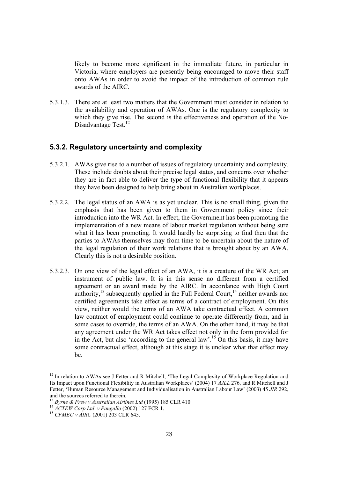likely to become more significant in the immediate future, in particular in Victoria, where employers are presently being encouraged to move their staff onto AWAs in order to avoid the impact of the introduction of common rule awards of the AIRC.

5.3.1.3. There are at least two matters that the Government must consider in relation to the availability and operation of AWAs. One is the regulatory complexity to which they give rise. The second is the effectiveness and operation of the No-Disadvantage Test.<sup>12</sup>

#### **5.3.2. Regulatory uncertainty and complexity**

- 5.3.2.1. AWAs give rise to a number of issues of regulatory uncertainty and complexity. These include doubts about their precise legal status, and concerns over whether they are in fact able to deliver the type of functional flexibility that it appears they have been designed to help bring about in Australian workplaces.
- 5.3.2.2. The legal status of an AWA is as yet unclear. This is no small thing, given the emphasis that has been given to them in Government policy since their introduction into the WR Act. In effect, the Government has been promoting the implementation of a new means of labour market regulation without being sure what it has been promoting. It would hardly be surprising to find then that the parties to AWAs themselves may from time to be uncertain about the nature of the legal regulation of their work relations that is brought about by an AWA. Clearly this is not a desirable position.
- 5.3.2.3. On one view of the legal effect of an AWA, it is a creature of the WR Act; an instrument of public law. It is in this sense no different from a certified agreement or an award made by the AIRC. In accordance with High Court authority, $^{13}$  subsequently applied in the Full Federal Court, $^{14}$  neither awards nor certified agreements take effect as terms of a contract of employment. On this view, neither would the terms of an AWA take contractual effect. A common law contract of employment could continue to operate differently from, and in some cases to override, the terms of an AWA. On the other hand, it may be that any agreement under the WR Act takes effect not only in the form provided for in the Act, but also 'according to the general law'.<sup>15</sup> On this basis, it may have some contractual effect, although at this stage it is unclear what that effect may be.

<sup>&</sup>lt;sup>12</sup> In relation to AWAs see J Fetter and R Mitchell, 'The Legal Complexity of Workplace Regulation and Its Impact upon Functional Flexibility in Australian Workplaces' (2004) 17 *AJLL* 276, and R Mitchell and J Fetter, 'Human Resource Management and Individualisation in Australian Labour Law' (2003) 45 *JIR* 292, and the sources referred to therein.<br><sup>13</sup> Byrne & Frew y Australian Airlines Ltd (1995) 185 CLR 410.

*Byrne & Frew v Australian Airlines Ltd* (1995) 144<br>
<sup>14</sup> *ACTEW Corp Ltd v Pangallo* (2002) 127 FCR 1.<br>
<sup>15</sup> *CFMEU v AIRC* (2001) 203 CLR 645.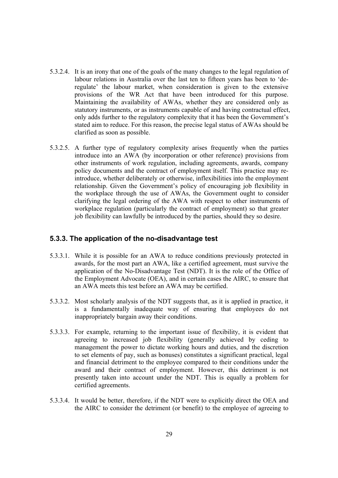- 5.3.2.4. It is an irony that one of the goals of the many changes to the legal regulation of labour relations in Australia over the last ten to fifteen years has been to 'deregulate' the labour market, when consideration is given to the extensive provisions of the WR Act that have been introduced for this purpose. Maintaining the availability of AWAs, whether they are considered only as statutory instruments, or as instruments capable of and having contractual effect, only adds further to the regulatory complexity that it has been the Government's stated aim to reduce. For this reason, the precise legal status of AWAs should be clarified as soon as possible.
- 5.3.2.5. A further type of regulatory complexity arises frequently when the parties introduce into an AWA (by incorporation or other reference) provisions from other instruments of work regulation, including agreements, awards, company policy documents and the contract of employment itself. This practice may reintroduce, whether deliberately or otherwise, inflexibilities into the employment relationship. Given the Government's policy of encouraging job flexibility in the workplace through the use of AWAs, the Government ought to consider clarifying the legal ordering of the AWA with respect to other instruments of workplace regulation (particularly the contract of employment) so that greater job flexibility can lawfully be introduced by the parties, should they so desire.

#### **5.3.3. The application of the no-disadvantage test**

- 5.3.3.1. While it is possible for an AWA to reduce conditions previously protected in awards, for the most part an AWA, like a certified agreement, must survive the application of the No-Disadvantage Test (NDT). It is the role of the Office of the Employment Advocate (OEA), and in certain cases the AIRC, to ensure that an AWA meets this test before an AWA may be certified.
- 5.3.3.2. Most scholarly analysis of the NDT suggests that, as it is applied in practice, it is a fundamentally inadequate way of ensuring that employees do not inappropriately bargain away their conditions.
- 5.3.3.3. For example, returning to the important issue of flexibility, it is evident that agreeing to increased job flexibility (generally achieved by ceding to management the power to dictate working hours and duties, and the discretion to set elements of pay, such as bonuses) constitutes a significant practical, legal and financial detriment to the employee compared to their conditions under the award and their contract of employment. However, this detriment is not presently taken into account under the NDT. This is equally a problem for certified agreements.
- 5.3.3.4. It would be better, therefore, if the NDT were to explicitly direct the OEA and the AIRC to consider the detriment (or benefit) to the employee of agreeing to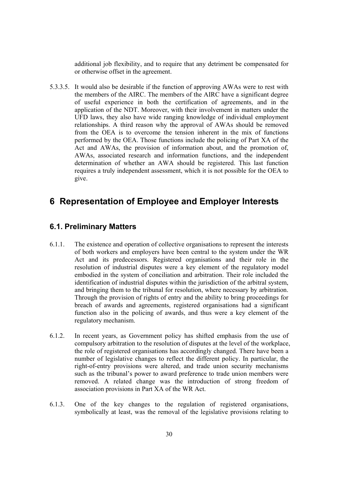additional job flexibility, and to require that any detriment be compensated for or otherwise offset in the agreement.

5.3.3.5. It would also be desirable if the function of approving AWAs were to rest with the members of the AIRC. The members of the AIRC have a significant degree of useful experience in both the certification of agreements, and in the application of the NDT. Moreover, with their involvement in matters under the UFD laws, they also have wide ranging knowledge of individual employment relationships. A third reason why the approval of AWAs should be removed from the OEA is to overcome the tension inherent in the mix of functions performed by the OEA. Those functions include the policing of Part XA of the Act and AWAs, the provision of information about, and the promotion of, AWAs, associated research and information functions, and the independent determination of whether an AWA should be registered. This last function requires a truly independent assessment, which it is not possible for the OEA to give.

# **6 Representation of Employee and Employer Interests**

## **6.1. Preliminary Matters**

- 6.1.1. The existence and operation of collective organisations to represent the interests of both workers and employers have been central to the system under the WR Act and its predecessors. Registered organisations and their role in the resolution of industrial disputes were a key element of the regulatory model embodied in the system of conciliation and arbitration. Their role included the identification of industrial disputes within the jurisdiction of the arbitral system, and bringing them to the tribunal for resolution, where necessary by arbitration. Through the provision of rights of entry and the ability to bring proceedings for breach of awards and agreements, registered organisations had a significant function also in the policing of awards, and thus were a key element of the regulatory mechanism.
- 6.1.2. In recent years, as Government policy has shifted emphasis from the use of compulsory arbitration to the resolution of disputes at the level of the workplace, the role of registered organisations has accordingly changed. There have been a number of legislative changes to reflect the different policy. In particular, the right-of-entry provisions were altered, and trade union security mechanisms such as the tribunal's power to award preference to trade union members were removed. A related change was the introduction of strong freedom of association provisions in Part XA of the WR Act.
- 6.1.3. One of the key changes to the regulation of registered organisations, symbolically at least, was the removal of the legislative provisions relating to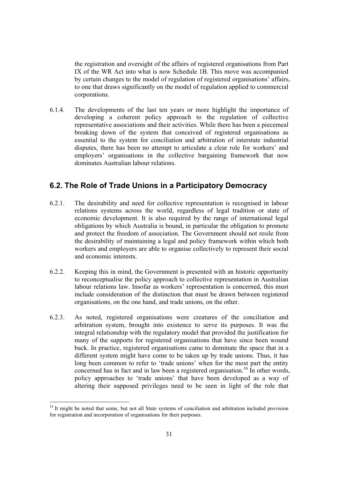the registration and oversight of the affairs of registered organisations from Part IX of the WR Act into what is now Schedule 1B. This move was accompanied by certain changes to the model of regulation of registered organisations' affairs, to one that draws significantly on the model of regulation applied to commercial corporations.

6.1.4. The developments of the last ten years or more highlight the importance of developing a coherent policy approach to the regulation of collective representative associations and their activities. While there has been a piecemeal breaking down of the system that conceived of registered organisations as essential to the system for conciliation and arbitration of interstate industrial disputes, there has been no attempt to articulate a clear role for workers' and employers' organisations in the collective bargaining framework that now dominates Australian labour relations.

### **6.2. The Role of Trade Unions in a Participatory Democracy**

- 6.2.1. The desirability and need for collective representation is recognised in labour relations systems across the world, regardless of legal tradition or state of economic development. It is also required by the range of international legal obligations by which Australia is bound, in particular the obligation to promote and protect the freedom of association. The Government should not resile from the desirability of maintaining a legal and policy framework within which both workers and employers are able to organise collectively to represent their social and economic interests.
- 6.2.2. Keeping this in mind, the Government is presented with an historic opportunity to reconceptualise the policy approach to collective representation in Australian labour relations law. Insofar as workers' representation is concerned, this must include consideration of the distinction that must be drawn between registered organisations, on the one hand, and trade unions, on the other.
- 6.2.3. As noted, registered organisations were creatures of the conciliation and arbitration system, brought into existence to serve its purposes. It was the integral relationship with the regulatory model that provided the justification for many of the supports for registered organisations that have since been wound back. In practice, registered organisations came to dominate the space that in a different system might have come to be taken up by trade unions. Thus, it has long been common to refer to 'trade unions' when for the most part the entity concerned has in fact and in law been a registered organisation.<sup>16</sup> In other words, policy approaches to 'trade unions' that have been developed as a way of altering their supposed privileges need to be seen in light of the role that

<sup>&</sup>lt;sup>16</sup> It might be noted that some, but not all State systems of conciliation and arbitration included provision for registration and incorporation of organisations for their purposes.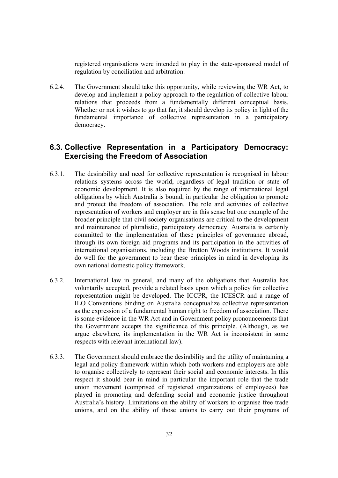registered organisations were intended to play in the state-sponsored model of regulation by conciliation and arbitration.

6.2.4. The Government should take this opportunity, while reviewing the WR Act, to develop and implement a policy approach to the regulation of collective labour relations that proceeds from a fundamentally different conceptual basis. Whether or not it wishes to go that far, it should develop its policy in light of the fundamental importance of collective representation in a participatory democracy.

### **6.3. Collective Representation in a Participatory Democracy: Exercising the Freedom of Association**

- 6.3.1. The desirability and need for collective representation is recognised in labour relations systems across the world, regardless of legal tradition or state of economic development. It is also required by the range of international legal obligations by which Australia is bound, in particular the obligation to promote and protect the freedom of association. The role and activities of collective representation of workers and employer are in this sense but one example of the broader principle that civil society organisations are critical to the development and maintenance of pluralistic, participatory democracy. Australia is certainly committed to the implementation of these principles of governance abroad, through its own foreign aid programs and its participation in the activities of international organisations, including the Bretton Woods institutions. It would do well for the government to bear these principles in mind in developing its own national domestic policy framework.
- 6.3.2. International law in general, and many of the obligations that Australia has voluntarily accepted, provide a related basis upon which a policy for collective representation might be developed. The ICCPR, the ICESCR and a range of ILO Conventions binding on Australia conceptualize collective representation as the expression of a fundamental human right to freedom of association. There is some evidence in the WR Act and in Government policy pronouncements that the Government accepts the significance of this principle. (Although, as we argue elsewhere, its implementation in the WR Act is inconsistent in some respects with relevant international law).
- 6.3.3. The Government should embrace the desirability and the utility of maintaining a legal and policy framework within which both workers and employers are able to organise collectively to represent their social and economic interests. In this respect it should bear in mind in particular the important role that the trade union movement (comprised of registered organizations of employees) has played in promoting and defending social and economic justice throughout Australia's history. Limitations on the ability of workers to organise free trade unions, and on the ability of those unions to carry out their programs of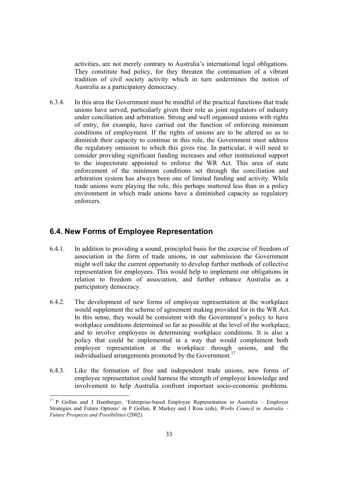activities, are not merely contrary to Australia's international legal obligations. They constitute bad policy, for they threaten the continuation of a vibrant tradition of civil society activity which in turn undermines the notion of Australia as a participatory democracy.

6.3.4. In this area the Government must be mindful of the practical functions that trade unions have served, particularly given their role as joint regulators of industry under conciliation and arbitration. Strong and well organised unions with rights of entry, for example, have carried out the function of enforcing minimum conditions of employment. If the rights of unions are to be altered so as to diminish their capacity to continue in this role, the Government must address the regulatory omission to which this gives rise. In particular, it will need to consider providing significant funding increases and other institutional support to the inspectorate appointed to enforce the WR Act. This area of state enforcement of the minimum conditions set through the conciliation and arbitration system has always been one of limited funding and activity. While trade unions were playing the role, this perhaps mattered less than in a policy environment in which trade unions have a diminished capacity as regulatory enforcers.

# **6.4. New Forms of Employee Representation**

- 6.4.1. In addition to providing a sound, principled basis for the exercise of freedom of association in the form of trade unions, in our submission the Government might well take the current opportunity to develop further methods of collective representation for employees. This would help to implement our obligations in relation to freedom of association, and further enhance Australia as a participatory democracy.
- 6.4.2. The development of new forms of employee representation at the workplace would supplement the scheme of agreement making provided for in the WR Act. In this sense, they would be consistent with the Government's policy to have workplace conditions determined so far as possible at the level of the workplace, and to involve employees in determining workplace conditions. It is also a policy that could be implemented in a way that would complement both employee representation at the workplace through unions, and the individualised arrangements promoted by the Government.<sup>17</sup>
- 6.4.3. Like the formation of free and independent trade unions, new forms of employee representation could harness the strength of employee knowledge and involvement to help Australia confront important socio-economic problems.

 $17$  P Gollan and J Hamberger, 'Enterprise-based Employee Representation in Australia – Employer Strategies and Future Options' in P Gollan, R Markey and I Ross (eds), *Works Council in Australia – Future Prospects and Possibilities* (2002).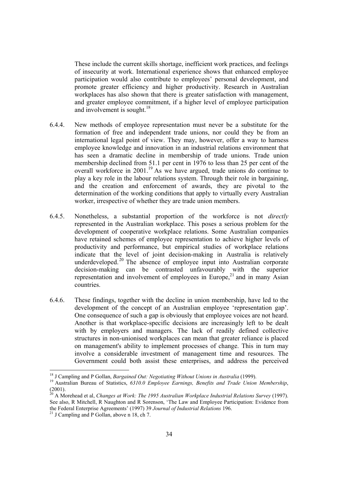These include the current skills shortage, inefficient work practices, and feelings of insecurity at work. International experience shows that enhanced employee participation would also contribute to employees' personal development, and promote greater efficiency and higher productivity. Research in Australian workplaces has also shown that there is greater satisfaction with management, and greater employee commitment, if a higher level of employee participation and involvement is sought.<sup>18</sup>

- 6.4.4. New methods of employee representation must never be a substitute for the formation of free and independent trade unions, nor could they be from an international legal point of view. They may, however, offer a way to harness employee knowledge and innovation in an industrial relations environment that has seen a dramatic decline in membership of trade unions. Trade union membership declined from 51.1 per cent in 1976 to less than 25 per cent of the overall workforce in  $2001$ .<sup>19</sup> As we have argued, trade unions do continue to play a key role in the labour relations system. Through their role in bargaining, and the creation and enforcement of awards, they are pivotal to the determination of the working conditions that apply to virtually every Australian worker, irrespective of whether they are trade union members.
- 6.4.5. Nonetheless, a substantial proportion of the workforce is not *directly*  represented in the Australian workplace. This poses a serious problem for the development of cooperative workplace relations. Some Australian companies have retained schemes of employee representation to achieve higher levels of productivity and performance, but empirical studies of workplace relations indicate that the level of joint decision-making in Australia is relatively underdeveloped.<sup>20</sup> The absence of employee input into Australian corporate decision-making can be contrasted unfavourably with the superior representation and involvement of employees in Europe, $21$  and in many Asian countries.
- 6.4.6. These findings, together with the decline in union membership, have led to the development of the concept of an Australian employee 'representation gap'. One consequence of such a gap is obviously that employee voices are not heard. Another is that workplace-specific decisions are increasingly left to be dealt with by employers and managers. The lack of readily defined collective structures in non-unionised workplaces can mean that greater reliance is placed on management's ability to implement processes of change. This in turn may involve a considerable investment of management time and resources. The Government could both assist these enterprises, and address the perceived

<sup>&</sup>lt;sup>18</sup> J Campling and P Gollan, *Bargained Out: Negotiating Without Unions in Australia* (1999).

<sup>&</sup>lt;sup>19</sup> Australian Bureau of Statistics, *6310.0 Employee Earnings, Benefits and Trade Union Membership*, (2001).

<sup>20</sup> A Morehead et al, *Changes at Work: The 1995 Australian Workplace Industrial Relations Survey* (1997). See also, R Mitchell, R Naughton and R Sorenson, 'The Law and Employee Participation: Evidence from the Federal Enterprise Agreements' (1997) 39 *Journal of Industrial Relations* 196. 21 J Campling and P Gollan, above n 18, ch 7.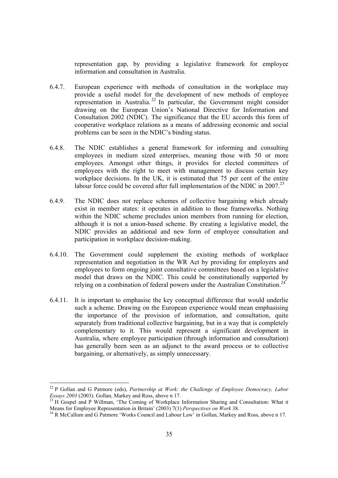representation gap, by providing a legislative framework for employee information and consultation in Australia.

- 6.4.7. European experience with methods of consultation in the workplace may provide a useful model for the development of new methods of employee representation in Australia.<sup>22</sup> In particular, the Government might consider drawing on the European Union's National Directive for Information and Consultation 2002 (NDIC). The significance that the EU accords this form of cooperative workplace relations as a means of addressing economic and social problems can be seen in the NDIC's binding status.
- 6.4.8. The NDIC establishes a general framework for informing and consulting employees in medium sized enterprises, meaning those with 50 or more employees. Amongst other things, it provides for elected committees of employees with the right to meet with management to discuss certain key workplace decisions. In the UK, it is estimated that 75 per cent of the entire labour force could be covered after full implementation of the NDIC in 2007.<sup>23</sup>
- 6.4.9. The NDIC does not replace schemes of collective bargaining which already exist in member states: it operates in addition to those frameworks. Nothing within the NDIC scheme precludes union members from running for election, although it is not a union-based scheme. By creating a legislative model, the NDIC provides an additional and new form of employee consultation and participation in workplace decision-making.
- 6.4.10. The Government could supplement the existing methods of workplace representation and negotiation in the WR Act by providing for employers and employees to form ongoing joint consultative committees based on a legislative model that draws on the NDIC. This could be constitutionally supported by relying on a combination of federal powers under the Australian Constitution.<sup>24</sup>
- 6.4.11. It is important to emphasise the key conceptual difference that would underlie such a scheme. Drawing on the European experience would mean emphasising the importance of the provision of information, and consultation, quite separately from traditional collective bargaining, but in a way that is completely complementary to it. This would represent a significant development in Australia, where employee participation (through information and consultation) has generally been seen as an adjunct to the award process or to collective bargaining, or alternatively, as simply unnecessary.

 $\overline{a}$ 

<sup>22</sup> P Gollan and G Patmore (eds), *Partnership at Work: the Challenge of Employee Democracy, Labor* 

*Essays 2003* (2003). Gollan, Markey and Ross, above n 17.<br><sup>23</sup> H Gospel and P Willman, 'The Coming of Workplace Information Sharing and Consultation: What it<br>Means for Employee Representation in Britain' (2003) 7(1) *Pers* 

<sup>&</sup>lt;sup>24</sup> R McCallum and G Patmore 'Works Council and Labour Law' in Gollan, Markey and Ross, above n 17.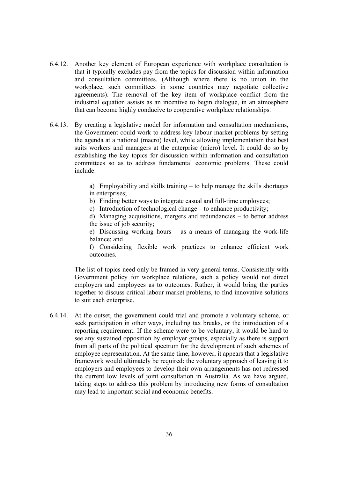- 6.4.12. Another key element of European experience with workplace consultation is that it typically excludes pay from the topics for discussion within information and consultation committees. (Although where there is no union in the workplace, such committees in some countries may negotiate collective agreements). The removal of the key item of workplace conflict from the industrial equation assists as an incentive to begin dialogue, in an atmosphere that can become highly conducive to cooperative workplace relationships.
- 6.4.13. By creating a legislative model for information and consultation mechanisms, the Government could work to address key labour market problems by setting the agenda at a national (macro) level, while allowing implementation that best suits workers and managers at the enterprise (micro) level. It could do so by establishing the key topics for discussion within information and consultation committees so as to address fundamental economic problems. These could include:

a) Employability and skills training – to help manage the skills shortages in enterprises;

b) Finding better ways to integrate casual and full-time employees;

c) Introduction of technological change – to enhance productivity;

d) Managing acquisitions, mergers and redundancies – to better address the issue of job security;

e) Discussing working hours – as a means of managing the work-life balance; and

f) Considering flexible work practices to enhance efficient work outcomes.

The list of topics need only be framed in very general terms. Consistently with Government policy for workplace relations, such a policy would not direct employers and employees as to outcomes. Rather, it would bring the parties together to discuss critical labour market problems, to find innovative solutions to suit each enterprise.

6.4.14. At the outset, the government could trial and promote a voluntary scheme, or seek participation in other ways, including tax breaks, or the introduction of a reporting requirement. If the scheme were to be voluntary, it would be hard to see any sustained opposition by employer groups, especially as there is support from all parts of the political spectrum for the development of such schemes of employee representation. At the same time, however, it appears that a legislative framework would ultimately be required: the voluntary approach of leaving it to employers and employees to develop their own arrangements has not redressed the current low levels of joint consultation in Australia. As we have argued, taking steps to address this problem by introducing new forms of consultation may lead to important social and economic benefits.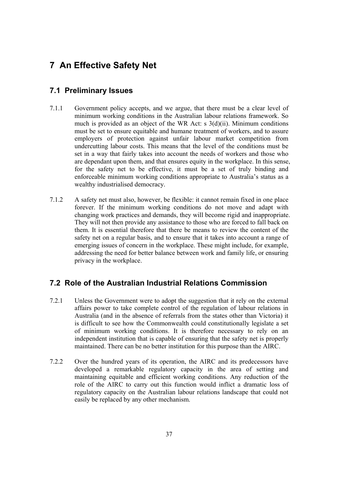# **7 An Effective Safety Net**

## **7.1 Preliminary Issues**

- 7.1.1 Government policy accepts, and we argue, that there must be a clear level of minimum working conditions in the Australian labour relations framework. So much is provided as an object of the WR Act: s 3(d)(ii). Minimum conditions must be set to ensure equitable and humane treatment of workers, and to assure employers of protection against unfair labour market competition from undercutting labour costs. This means that the level of the conditions must be set in a way that fairly takes into account the needs of workers and those who are dependant upon them, and that ensures equity in the workplace. In this sense, for the safety net to be effective, it must be a set of truly binding and enforceable minimum working conditions appropriate to Australia's status as a wealthy industrialised democracy.
- 7.1.2 A safety net must also, however, be flexible: it cannot remain fixed in one place forever. If the minimum working conditions do not move and adapt with changing work practices and demands, they will become rigid and inappropriate. They will not then provide any assistance to those who are forced to fall back on them. It is essential therefore that there be means to review the content of the safety net on a regular basis, and to ensure that it takes into account a range of emerging issues of concern in the workplace. These might include, for example, addressing the need for better balance between work and family life, or ensuring privacy in the workplace.

## **7.2 Role of the Australian Industrial Relations Commission**

- 7.2.1 Unless the Government were to adopt the suggestion that it rely on the external affairs power to take complete control of the regulation of labour relations in Australia (and in the absence of referrals from the states other than Victoria) it is difficult to see how the Commonwealth could constitutionally legislate a set of minimum working conditions. It is therefore necessary to rely on an independent institution that is capable of ensuring that the safety net is properly maintained. There can be no better institution for this purpose than the AIRC.
- 7.2.2 Over the hundred years of its operation, the AIRC and its predecessors have developed a remarkable regulatory capacity in the area of setting and maintaining equitable and efficient working conditions. Any reduction of the role of the AIRC to carry out this function would inflict a dramatic loss of regulatory capacity on the Australian labour relations landscape that could not easily be replaced by any other mechanism.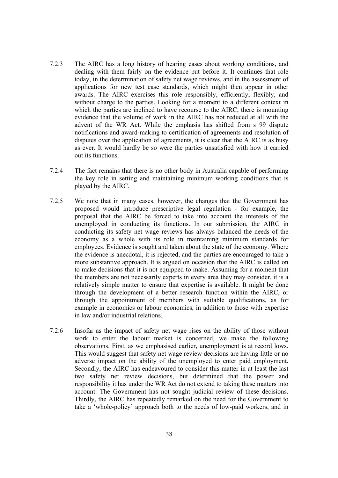- 7.2.3 The AIRC has a long history of hearing cases about working conditions, and dealing with them fairly on the evidence put before it. It continues that role today, in the determination of safety net wage reviews, and in the assessment of applications for new test case standards, which might then appear in other awards. The AIRC exercises this role responsibly, efficiently, flexibly, and without charge to the parties. Looking for a moment to a different context in which the parties are inclined to have recourse to the AIRC, there is mounting evidence that the volume of work in the AIRC has not reduced at all with the advent of the WR Act. While the emphasis has shifted from s 99 dispute notifications and award-making to certification of agreements and resolution of disputes over the application of agreements, it is clear that the AIRC is as busy as ever. It would hardly be so were the parties unsatisfied with how it carried out its functions.
- 7.2.4 The fact remains that there is no other body in Australia capable of performing the key role in setting and maintaining minimum working conditions that is played by the AIRC.
- 7.2.5 We note that in many cases, however, the changes that the Government has proposed would introduce prescriptive legal regulation - for example, the proposal that the AIRC be forced to take into account the interests of the unemployed in conducting its functions. In our submission, the AIRC in conducting its safety net wage reviews has always balanced the needs of the economy as a whole with its role in maintaining minimum standards for employees. Evidence is sought and taken about the state of the economy. Where the evidence is anecdotal, it is rejected, and the parties are encouraged to take a more substantive approach. It is argued on occasion that the AIRC is called on to make decisions that it is not equipped to make. Assuming for a moment that the members are not necessarily experts in every area they may consider, it is a relatively simple matter to ensure that expertise is available. It might be done through the development of a better research function within the AIRC, or through the appointment of members with suitable qualifications, as for example in economics or labour economics, in addition to those with expertise in law and/or industrial relations.
- 7.2.6 Insofar as the impact of safety net wage rises on the ability of those without work to enter the labour market is concerned, we make the following observations. First, as we emphasised earlier, unemployment is at record lows. This would suggest that safety net wage review decisions are having little or no adverse impact on the ability of the unemployed to enter paid employment. Secondly, the AIRC has endeavoured to consider this matter in at least the last two safety net review decisions, but determined that the power and responsibility it has under the WR Act do not extend to taking these matters into account. The Government has not sought judicial review of these decisions. Thirdly, the AIRC has repeatedly remarked on the need for the Government to take a 'whole-policy' approach both to the needs of low-paid workers, and in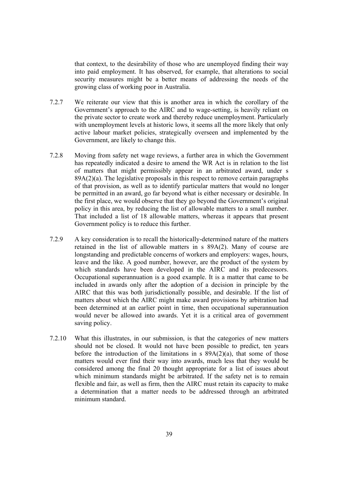that context, to the desirability of those who are unemployed finding their way into paid employment. It has observed, for example, that alterations to social security measures might be a better means of addressing the needs of the growing class of working poor in Australia.

- 7.2.7 We reiterate our view that this is another area in which the corollary of the Government's approach to the AIRC and to wage-setting, is heavily reliant on the private sector to create work and thereby reduce unemployment. Particularly with unemployment levels at historic lows, it seems all the more likely that only active labour market policies, strategically overseen and implemented by the Government, are likely to change this.
- 7.2.8 Moving from safety net wage reviews, a further area in which the Government has repeatedly indicated a desire to amend the WR Act is in relation to the list of matters that might permissibly appear in an arbitrated award, under s 89A(2)(a). The legislative proposals in this respect to remove certain paragraphs of that provision, as well as to identify particular matters that would no longer be permitted in an award, go far beyond what is either necessary or desirable. In the first place, we would observe that they go beyond the Government's original policy in this area, by reducing the list of allowable matters to a small number. That included a list of 18 allowable matters, whereas it appears that present Government policy is to reduce this further.
- 7.2.9 A key consideration is to recall the historically-determined nature of the matters retained in the list of allowable matters in s 89A(2). Many of course are longstanding and predictable concerns of workers and employers: wages, hours, leave and the like. A good number, however, are the product of the system by which standards have been developed in the AIRC and its predecessors. Occupational superannuation is a good example. It is a matter that came to be included in awards only after the adoption of a decision in principle by the AIRC that this was both jurisdictionally possible, and desirable. If the list of matters about which the AIRC might make award provisions by arbitration had been determined at an earlier point in time, then occupational superannuation would never be allowed into awards. Yet it is a critical area of government saving policy.
- 7.2.10 What this illustrates, in our submission, is that the categories of new matters should not be closed. It would not have been possible to predict, ten years before the introduction of the limitations in  $s$  89A(2)(a), that some of those matters would ever find their way into awards, much less that they would be considered among the final 20 thought appropriate for a list of issues about which minimum standards might be arbitrated. If the safety net is to remain flexible and fair, as well as firm, then the AIRC must retain its capacity to make a determination that a matter needs to be addressed through an arbitrated minimum standard.